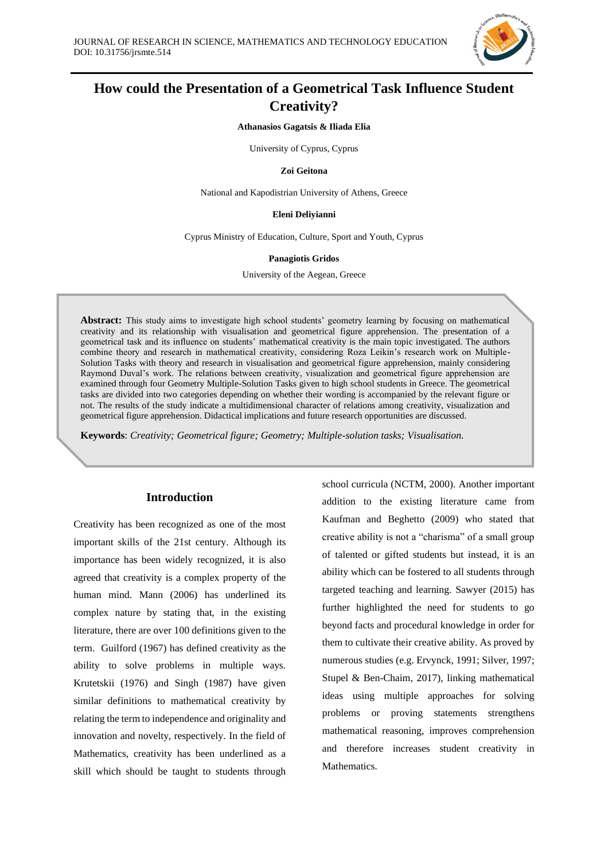

# **How could the Presentation of a Geometrical Task Influence Student Creativity?**

**Athanasios Gagatsis & Iliada Elia**

University of Cyprus, Cyprus

**Zoi Geitona**

National and Kapodistrian University of Athens, Greece

#### **Eleni Deliyianni**

Cyprus Ministry of Education, Culture, Sport and Youth, Cyprus

#### **Panagiotis Gridos**

University of the Aegean, Greece

**Abstract:** This study aims to investigate high school students' geometry learning by focusing on mathematical creativity and its relationship with visualisation and geometrical figure apprehension. The presentation of a geometrical task and its influence on students' mathematical creativity is the main topic investigated. The authors combine theory and research in mathematical creativity, considering Roza Leikin's research work on Multiple-Solution Tasks with theory and research in visualisation and geometrical figure apprehension, mainly considering Raymond Duval's work. The relations between creativity, visualization and geometrical figure apprehension are examined through four Geometry Multiple-Solution Tasks given to high school students in Greece. The geometrical tasks are divided into two categories depending on whether their wording is accompanied by the relevant figure or not. The results of the study indicate a multidimensional character of relations among creativity, visualization and geometrical figure apprehension. Didactical implications and future research opportunities are discussed.

**Keywords**: *Creativity; Geometrical figure; Geometry; Multiple-solution tasks; Visualisation.*

# **Introduction**

Creativity has been recognized as one of the most important skills of the 21st century. Although its importance has been widely recognized, it is also agreed that creativity is a complex property of the human mind. Mann (2006) has underlined its complex nature by stating that, in the existing literature, there are over 100 definitions given to the term. Guilford (1967) has defined creativity as the ability to solve problems in multiple ways. Krutetskii (1976) and Singh (1987) have given similar definitions to mathematical creativity by relating the term to independence and originality and innovation and novelty, respectively. In the field of Mathematics, creativity has been underlined as a skill which should be taught to students through school curricula (NCTM, 2000). Another important addition to the existing literature came from Kaufman and Beghetto (2009) who stated that creative ability is not a "charisma" of a small group of talented or gifted students but instead, it is an ability which can be fostered to all students through targeted teaching and learning. Sawyer (2015) has further highlighted the need for students to go beyond facts and procedural knowledge in order for them to cultivate their creative ability. As proved by numerous studies (e.g. Ervynck, 1991; Silver, 1997; Stupel & Ben-Chaim, 2017), linking mathematical ideas using multiple approaches for solving problems or proving statements strengthens mathematical reasoning, improves comprehension and therefore increases student creativity in Mathematics.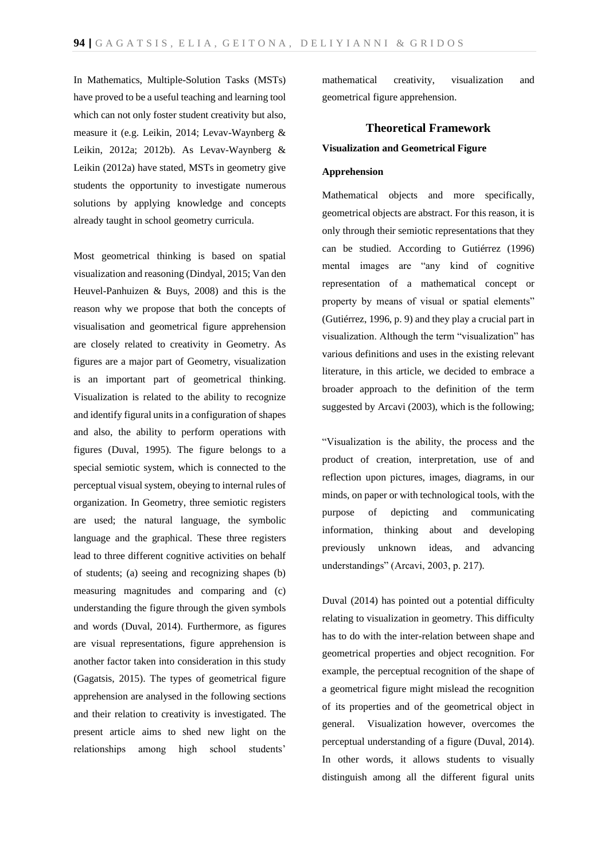In Mathematics, Multiple-Solution Tasks (MSTs) have proved to be a useful teaching and learning tool which can not only foster student creativity but also, measure it (e.g. Leikin, 2014; Levav-Waynberg & Leikin, 2012a; 2012b). As Levav-Waynberg & Leikin (2012a) have stated, MSTs in geometry give students the opportunity to investigate numerous solutions by applying knowledge and concepts already taught in school geometry curricula.

Most geometrical thinking is based on spatial visualization and reasoning (Dindyal, 2015; Van den Heuvel-Panhuizen & Buys, 2008) and this is the reason why we propose that both the concepts of visualisation and geometrical figure apprehension are closely related to creativity in Geometry. As figures are a major part of Geometry, visualization is an important part of geometrical thinking. Visualization is related to the ability to recognize and identify figural units in a configuration of shapes and also, the ability to perform operations with figures (Duval, 1995). The figure belongs to a special semiotic system, which is connected to the perceptual visual system, obeying to internal rules of organization. In Geometry, three semiotic registers are used; the natural language, the symbolic language and the graphical. These three registers lead to three different cognitive activities on behalf of students; (a) seeing and recognizing shapes (b) measuring magnitudes and comparing and (c) understanding the figure through the given symbols and words (Duval, 2014). Furthermore, as figures are visual representations, figure apprehension is another factor taken into consideration in this study (Gagatsis, 2015). The types of geometrical figure apprehension are analysed in the following sections and their relation to creativity is investigated. The present article aims to shed new light on the relationships among high school students'

mathematical creativity, visualization and geometrical figure apprehension.

# **Theoretical Framework Visualization and Geometrical Figure**

# **Apprehension**

Mathematical objects and more specifically, geometrical objects are abstract. For this reason, it is only through their semiotic representations that they can be studied. According to Gutiérrez (1996) mental images are "any kind of cognitive representation of a mathematical concept or property by means of visual or spatial elements" (Gutiérrez, 1996, p. 9) and they play a crucial part in visualization. Although the term "visualization" has various definitions and uses in the existing relevant literature, in this article, we decided to embrace a broader approach to the definition of the term suggested by Arcavi (2003), which is the following;

"Visualization is the ability, the process and the product of creation, interpretation, use of and reflection upon pictures, images, diagrams, in our minds, on paper or with technological tools, with the purpose of depicting and communicating information, thinking about and developing previously unknown ideas, and advancing understandings" (Arcavi, 2003, p. 217).

Duval (2014) has pointed out a potential difficulty relating to visualization in geometry. This difficulty has to do with the inter-relation between shape and geometrical properties and object recognition. For example, the perceptual recognition of the shape of a geometrical figure might mislead the recognition of its properties and of the geometrical object in general. Visualization however, overcomes the perceptual understanding of a figure (Duval, 2014). In other words, it allows students to visually distinguish among all the different figural units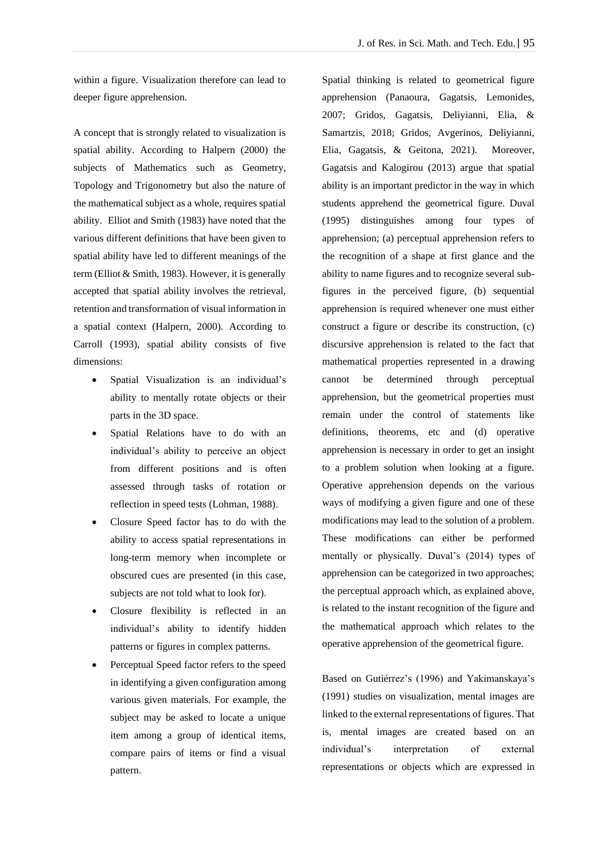within a figure. Visualization therefore can lead to deeper figure apprehension.

A concept that is strongly related to visualization is spatial ability. According to Halpern (2000) the subjects of Mathematics such as Geometry, Topology and Trigonometry but also the nature of the mathematical subject as a whole, requires spatial ability. Elliot and Smith (1983) have noted that the various different definitions that have been given to spatial ability have led to different meanings of the term (Elliot & Smith, 1983). However, it is generally accepted that spatial ability involves the retrieval, retention and transformation of visual information in a spatial context (Halpern, 2000). According to Carroll (1993), spatial ability consists of five dimensions:

- Spatial Visualization is an individual's ability to mentally rotate objects or their parts in the 3D space.
- Spatial Relations have to do with an individual's ability to perceive an object from different positions and is often assessed through tasks of rotation or reflection in speed tests (Lohman, 1988).
- Closure Speed factor has to do with the ability to access spatial representations in long-term memory when incomplete or obscured cues are presented (in this case, subjects are not told what to look for).
- Closure flexibility is reflected in an individual's ability to identify hidden patterns or figures in complex patterns.
- Perceptual Speed factor refers to the speed in identifying a given configuration among various given materials. For example, the subject may be asked to locate a unique item among a group of identical items, compare pairs of items or find a visual pattern.

Spatial thinking is related to geometrical figure apprehension (Panaoura, Gagatsis, Lemonides, 2007; Gridos, Gagatsis, Deliyianni, Elia, & Samartzis, 2018; Gridos, Avgerinos, Deliyianni, Elia, Gagatsis, & Geitona, 2021). Moreover, Gagatsis and Kalogirou (2013) argue that spatial ability is an important predictor in the way in which students apprehend the geometrical figure. Duval (1995) distinguishes among four types of apprehension; (a) perceptual apprehension refers to the recognition of a shape at first glance and the ability to name figures and to recognize several subfigures in the perceived figure, (b) sequential apprehension is required whenever one must either construct a figure or describe its construction, (c) discursive apprehension is related to the fact that mathematical properties represented in a drawing cannot be determined through perceptual apprehension, but the geometrical properties must remain under the control of statements like definitions, theorems, etc and (d) operative apprehension is necessary in order to get an insight to a problem solution when looking at a figure. Operative apprehension depends on the various ways of modifying a given figure and one of these modifications may lead to the solution of a problem. These modifications can either be performed mentally or physically. Duval's (2014) types of apprehension can be categorized in two approaches; the perceptual approach which, as explained above, is related to the instant recognition of the figure and the mathematical approach which relates to the operative apprehension of the geometrical figure.

Based on Gutiérrez's (1996) and Yakimanskaya's (1991) studies on visualization, mental images are linked to the external representations of figures. That is, mental images are created based on an individual's interpretation of external representations or objects which are expressed in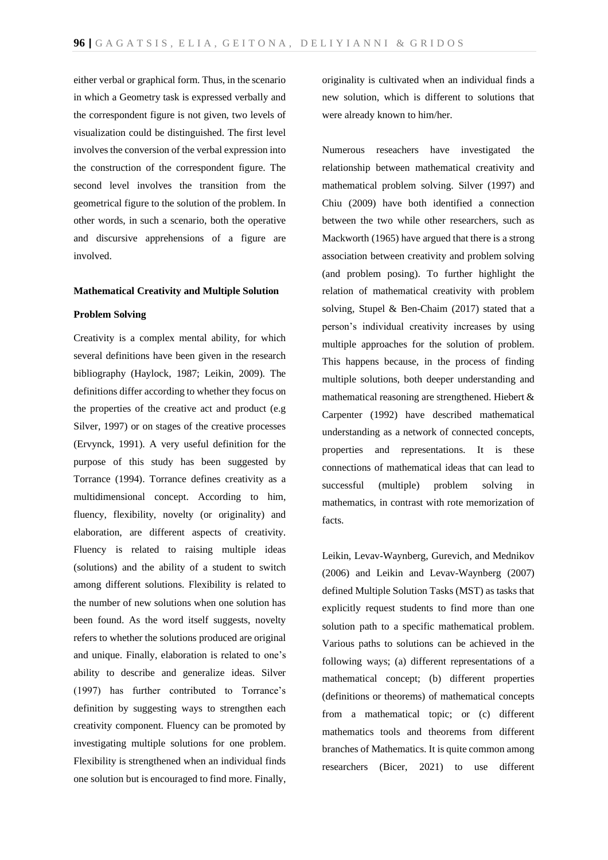either verbal or graphical form. Thus, in the scenario in which a Geometry task is expressed verbally and the correspondent figure is not given, two levels of visualization could be distinguished. The first level involves the conversion of the verbal expression into the construction of the correspondent figure. The second level involves the transition from the geometrical figure to the solution of the problem. In other words, in such a scenario, both the operative and discursive apprehensions of a figure are involved.

#### **Mathematical Creativity and Multiple Solution**

### **Problem Solving**

Creativity is a complex mental ability, for which several definitions have been given in the research bibliography (Haylock, 1987; Leikin, 2009). The definitions differ according to whether they focus on the properties of the creative act and product (e.g Silver, 1997) or on stages of the creative processes (Ervynck, 1991). A very useful definition for the purpose of this study has been suggested by Torrance (1994). Torrance defines creativity as a multidimensional concept. According to him, fluency, flexibility, novelty (or originality) and elaboration, are different aspects of creativity. Fluency is related to raising multiple ideas (solutions) and the ability of a student to switch among different solutions. Flexibility is related to the number of new solutions when one solution has been found. As the word itself suggests, novelty refers to whether the solutions produced are original and unique. Finally, elaboration is related to one's ability to describe and generalize ideas. Silver (1997) has further contributed to Torrance's definition by suggesting ways to strengthen each creativity component. Fluency can be promoted by investigating multiple solutions for one problem. Flexibility is strengthened when an individual finds one solution but is encouraged to find more. Finally, originality is cultivated when an individual finds a new solution, which is different to solutions that were already known to him/her.

Numerous reseachers have investigated the relationship between mathematical creativity and mathematical problem solving. Silver (1997) and Chiu (2009) have both identified a connection between the two while other researchers, such as Mackworth (1965) have argued that there is a strong association between creativity and problem solving (and problem posing). To further highlight the relation of mathematical creativity with problem solving, Stupel & Ben-Chaim (2017) stated that a person's individual creativity increases by using multiple approaches for the solution of problem. This happens because, in the process of finding multiple solutions, both deeper understanding and mathematical reasoning are strengthened. Hiebert & Carpenter (1992) have described mathematical understanding as a network of connected concepts, properties and representations. It is these connections of mathematical ideas that can lead to successful (multiple) problem solving in mathematics, in contrast with rote memorization of facts.

Leikin, Levav-Waynberg, Gurevich, and Mednikov (2006) and Leikin and Levav-Waynberg (2007) defined Multiple Solution Tasks (MST) as tasks that explicitly request students to find more than one solution path to a specific mathematical problem. Various paths to solutions can be achieved in the following ways; (a) different representations of a mathematical concept; (b) different properties (definitions or theorems) of mathematical concepts from a mathematical topic; or (c) different mathematics tools and theorems from different branches of Mathematics. It is quite common among researchers (Bicer, 2021) to use different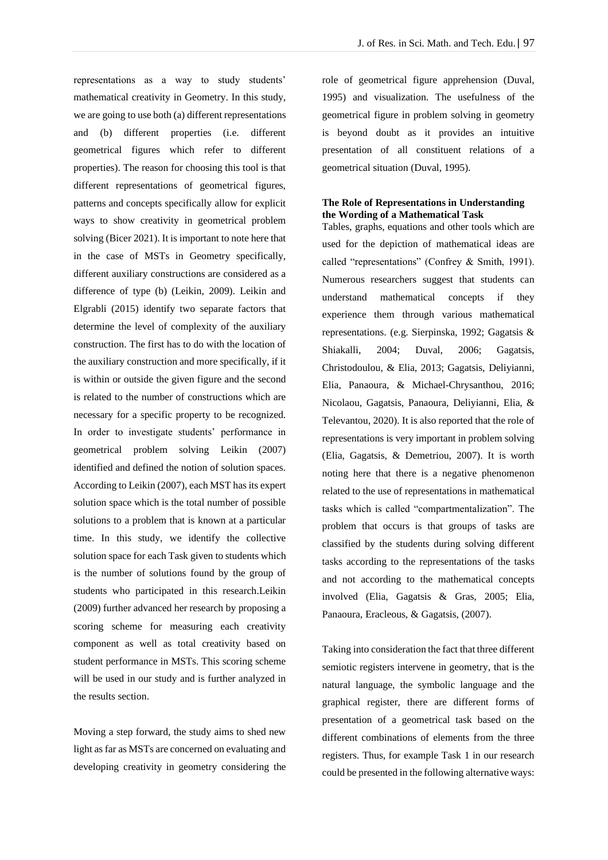representations as a way to study students' mathematical creativity in Geometry. In this study, we are going to use both (a) different representations and (b) different properties (i.e. different geometrical figures which refer to different properties). The reason for choosing this tool is that different representations of geometrical figures, patterns and concepts specifically allow for explicit ways to show creativity in geometrical problem solving (Bicer 2021). It is important to note here that in the case of MSTs in Geometry specifically, different auxiliary constructions are considered as a difference of type (b) (Leikin, 2009). Leikin and Elgrabli (2015) identify two separate factors that determine the level of complexity of the auxiliary construction. The first has to do with the location of the auxiliary construction and more specifically, if it is within or outside the given figure and the second is related to the number of constructions which are necessary for a specific property to be recognized. In order to investigate students' performance in geometrical problem solving Leikin (2007) identified and defined the notion of solution spaces. According to Leikin (2007), each MST has its expert solution space which is the total number of possible solutions to a problem that is known at a particular time. In this study, we identify the collective solution space for each Task given to students which is the number of solutions found by the group of students who participated in this research.Leikin (2009) further advanced her research by proposing a scoring scheme for measuring each creativity component as well as total creativity based on student performance in MSTs. This scoring scheme will be used in our study and is further analyzed in the results section.

Moving a step forward, the study aims to shed new light as far as MSTs are concerned on evaluating and developing creativity in geometry considering the role of geometrical figure apprehension (Duval, 1995) and visualization. The usefulness of the geometrical figure in problem solving in geometry is beyond doubt as it provides an intuitive presentation of all constituent relations of a geometrical situation (Duval, 1995).

### **The Role of Representations in Understanding the Wording of a Mathematical Task**

Tables, graphs, equations and other tools which are used for the depiction of mathematical ideas are called "representations" (Confrey & Smith, 1991). Numerous researchers suggest that students can understand mathematical concepts if they experience them through various mathematical representations. (e.g. Sierpinska, 1992; Gagatsis & Shiakalli, 2004; Duval, 2006; Gagatsis, Christodoulou, & Elia, 2013; Gagatsis, Deliyianni, Elia, Panaoura, & Michael-Chrysanthou, 2016; Nicolaou, Gagatsis, Panaoura, Deliyianni, Elia, & Televantou, 2020). It is also reported that the role of representations is very important in problem solving (Elia, Gagatsis, & Demetriou, 2007). It is worth noting here that there is a negative phenomenon related to the use of representations in mathematical tasks which is called "compartmentalization". The problem that occurs is that groups of tasks are classified by the students during solving different tasks according to the representations of the tasks and not according to the mathematical concepts involved (Elia, Gagatsis & Gras, 2005; Elia, Panaoura, Eracleous, & Gagatsis, (2007).

Taking into consideration the fact that three different semiotic registers intervene in geometry, that is the natural language, the symbolic language and the graphical register, there are different forms of presentation of a geometrical task based on the different combinations of elements from the three registers. Thus, for example Task 1 in our research could be presented in the following alternative ways: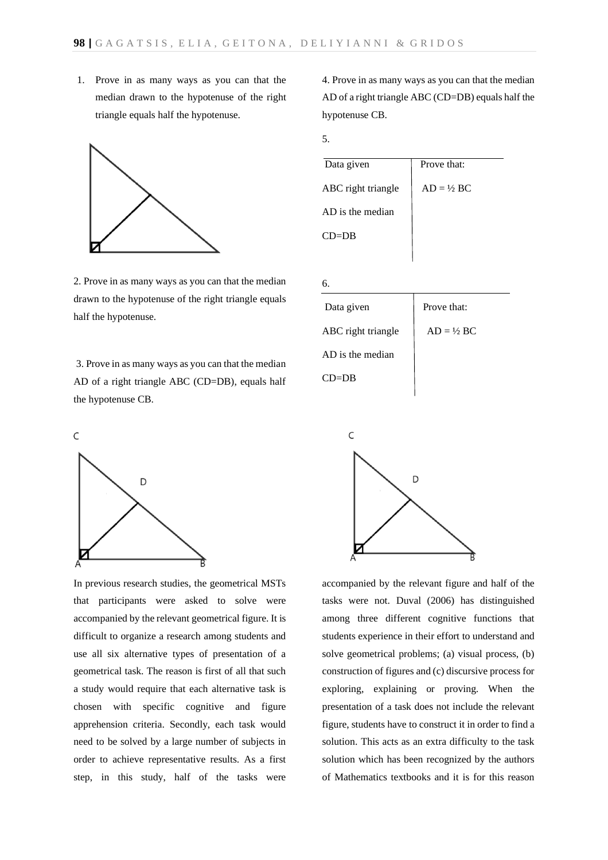1. Prove in as many ways as you can that the median drawn to the hypotenuse of the right triangle equals half the hypotenuse.



2. Prove in as many ways as you can that the median drawn to the hypotenuse of the right triangle equals half the hypotenuse.

3. Prove in as many ways as you can that the median AD of a right triangle ABC (CD=DB), equals half the hypotenuse CB.



In previous research studies, the geometrical MSTs that participants were asked to solve were accompanied by the relevant geometrical figure. It is difficult to organize a research among students and use all six alternative types of presentation of a geometrical task. The reason is first of all that such a study would require that each alternative task is chosen with specific cognitive and figure apprehension criteria. Secondly, each task would need to be solved by a large number of subjects in order to achieve representative results. As a first step, in this study, half of the tasks were

4. Prove in as many ways as you can that the median AD of a right triangle ABC (CD=DB) equals half the hypotenuse CB.

5.



| б.                 |                       |
|--------------------|-----------------------|
| Data given         | Prove that:           |
| ABC right triangle | $AD = \frac{1}{2} BC$ |
| $AD$ is the median |                       |
| $CD = DR$          |                       |



accompanied by the relevant figure and half of the tasks were not. Duval (2006) has distinguished among three different cognitive functions that students experience in their effort to understand and solve geometrical problems; (a) visual process, (b) construction of figures and (c) discursive process for exploring, explaining or proving. When the presentation of a task does not include the relevant figure, students have to construct it in order to find a solution. This acts as an extra difficulty to the task solution which has been recognized by the authors of Mathematics textbooks and it is for this reason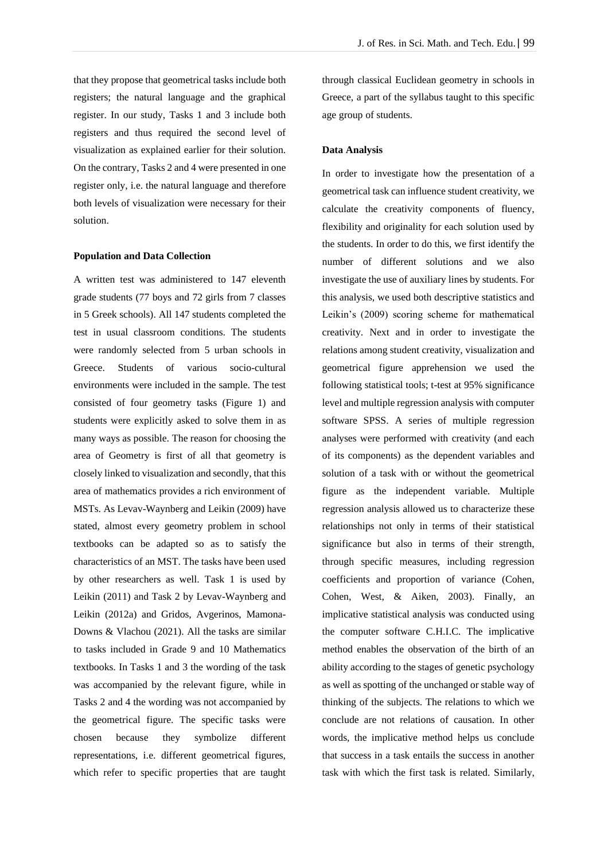that they propose that geometrical tasks include both registers; the natural language and the graphical register. In our study, Tasks 1 and 3 include both registers and thus required the second level of visualization as explained earlier for their solution. On the contrary, Tasks 2 and 4 were presented in one register only, i.e. the natural language and therefore both levels of visualization were necessary for their solution.

### **Population and Data Collection**

A written test was administered to 147 eleventh grade students (77 boys and 72 girls from 7 classes in 5 Greek schools). All 147 students completed the test in usual classroom conditions. The students were randomly selected from 5 urban schools in Greece. Students of various socio-cultural environments were included in the sample. The test consisted of four geometry tasks (Figure 1) and students were explicitly asked to solve them in as many ways as possible. The reason for choosing the area of Geometry is first of all that geometry is closely linked to visualization and secondly, that this area of mathematics provides a rich environment of MSTs. As Levav-Waynberg and Leikin (2009) have stated, almost every geometry problem in school textbooks can be adapted so as to satisfy the characteristics of an MST. The tasks have been used by other researchers as well. Task 1 is used by Leikin (2011) and Task 2 by Levav-Waynberg and Leikin (2012a) and Gridos, Avgerinos, Mamona-Downs & Vlachou (2021). All the tasks are similar to tasks included in Grade 9 and 10 Mathematics textbooks. In Tasks 1 and 3 the wording of the task was accompanied by the relevant figure, while in Tasks 2 and 4 the wording was not accompanied by the geometrical figure. The specific tasks were chosen because they symbolize different representations, i.e. different geometrical figures, which refer to specific properties that are taught through classical Euclidean geometry in schools in Greece, a part of the syllabus taught to this specific age group of students.

### **Data Analysis**

In order to investigate how the presentation of a geometrical task can influence student creativity, we calculate the creativity components of fluency, flexibility and originality for each solution used by the students. In order to do this, we first identify the number of different solutions and we also investigate the use of auxiliary lines by students. For this analysis, we used both descriptive statistics and Leikin's (2009) scoring scheme for mathematical creativity. Next and in order to investigate the relations among student creativity, visualization and geometrical figure apprehension we used the following statistical tools; t-test at 95% significance level and multiple regression analysis with computer software SPSS. A series of multiple regression analyses were performed with creativity (and each of its components) as the dependent variables and solution of a task with or without the geometrical figure as the independent variable. Multiple regression analysis allowed us to characterize these relationships not only in terms of their statistical significance but also in terms of their strength, through specific measures, including regression coefficients and proportion of variance (Cohen, Cohen, West, & Aiken, 2003). Finally, an implicative statistical analysis was conducted using the computer software C.H.I.C. The implicative method enables the observation of the birth of an ability according to the stages of genetic psychology as well as spotting of the unchanged or stable way of thinking of the subjects. The relations to which we conclude are not relations of causation. In other words, the implicative method helps us conclude that success in a task entails the success in another task with which the first task is related. Similarly,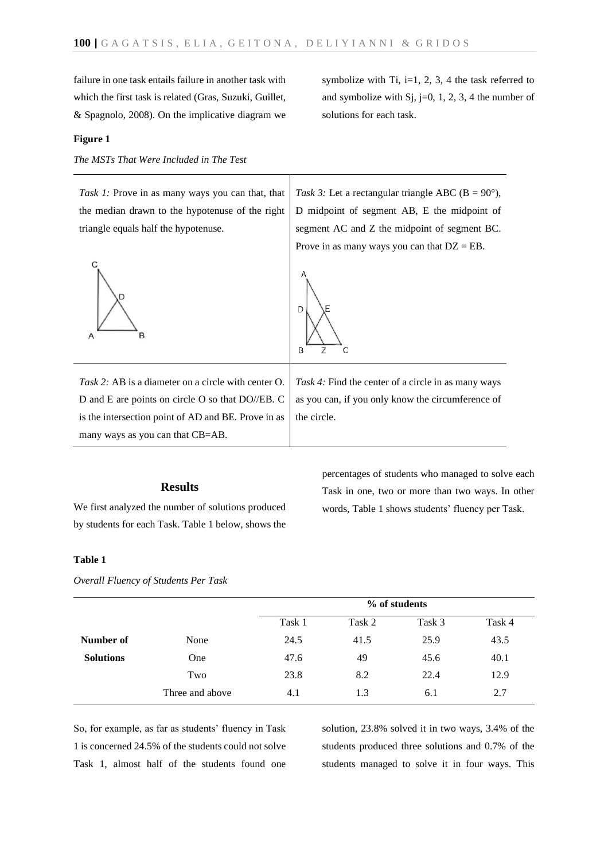failure in one task entails failure in another task with which the first task is related (Gras, Suzuki, Guillet, & Spagnolo, 2008). On the implicative diagram we

### **Figure 1**

*The MSTs That Were Included in The Test*

*Task 1:* Prove in as many ways you can that, that the median drawn to the hypotenuse of the right triangle equals half the hypotenuse.



Task 3: Let a rectangular triangle ABC ( $B = 90^\circ$ ), D midpoint of segment AB, E the midpoint of segment AC and Z the midpoint of segment BC. Prove in as many ways you can that  $DZ = EB$ .



*Task 2:* AB is a diameter on a circle with center O. D and E are points on circle O so that DO//EB. C is the intersection point of AD and BE. Prove in as many ways as you can that CB=AB.

*Task 4:* Find the center of a circle in as many ways as you can, if you only know the circumference of the circle.

### **Results**

We first analyzed the number of solutions produced by students for each Task. Table 1 below, shows the percentages of students who managed to solve each Task in one, two or more than two ways. In other words, Table 1 shows students' fluency per Task.

### **Table 1**

*Overall Fluency of Students Per Task*

|                  |                 | % of students |        |        |        |
|------------------|-----------------|---------------|--------|--------|--------|
|                  |                 | Task 1        | Task 2 | Task 3 | Task 4 |
| Number of        | None            | 24.5          | 41.5   | 25.9   | 43.5   |
| <b>Solutions</b> | <b>One</b>      | 47.6          | 49     | 45.6   | 40.1   |
|                  | Two             | 23.8          | 8.2    | 22.4   | 12.9   |
|                  | Three and above | 4.1           | 1.3    | 6.1    | 2.7    |

So, for example, as far as students' fluency in Task 1 is concerned 24.5% of the students could not solve Task 1, almost half of the students found one solution, 23.8% solved it in two ways, 3.4% of the students produced three solutions and 0.7% of the students managed to solve it in four ways. This

symbolize with Ti, i=1, 2, 3, 4 the task referred to and symbolize with  $S_j$ , j=0, 1, 2, 3, 4 the number of solutions for each task.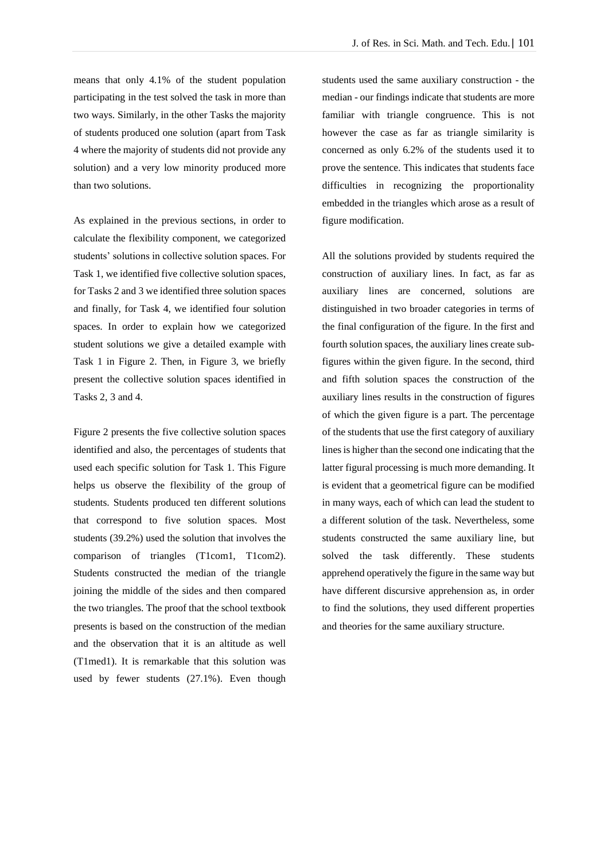means that only 4.1% of the student population participating in the test solved the task in more than two ways. Similarly, in the other Tasks the majority of students produced one solution (apart from Task 4 where the majority of students did not provide any solution) and a very low minority produced more than two solutions.

As explained in the previous sections, in order to calculate the flexibility component, we categorized students' solutions in collective solution spaces. For Task 1, we identified five collective solution spaces, for Tasks 2 and 3 we identified three solution spaces and finally, for Task 4, we identified four solution spaces. In order to explain how we categorized student solutions we give a detailed example with Task 1 in Figure 2. Then, in Figure 3, we briefly present the collective solution spaces identified in Tasks 2, 3 and 4.

Figure 2 presents the five collective solution spaces identified and also, the percentages of students that used each specific solution for Task 1. This Figure helps us observe the flexibility of the group of students. Students produced ten different solutions that correspond to five solution spaces. Most students (39.2%) used the solution that involves the comparison of triangles (T1com1, T1com2). Students constructed the median of the triangle joining the middle of the sides and then compared the two triangles. The proof that the school textbook presents is based on the construction of the median and the observation that it is an altitude as well (T1med1). It is remarkable that this solution was used by fewer students (27.1%). Even though students used the same auxiliary construction - the median - our findings indicate that students are more familiar with triangle congruence. This is not however the case as far as triangle similarity is concerned as only 6.2% of the students used it to prove the sentence. This indicates that students face difficulties in recognizing the proportionality embedded in the triangles which arose as a result of figure modification.

All the solutions provided by students required the construction of auxiliary lines. In fact, as far as auxiliary lines are concerned, solutions are distinguished in two broader categories in terms of the final configuration of the figure. In the first and fourth solution spaces, the auxiliary lines create subfigures within the given figure. In the second, third and fifth solution spaces the construction of the auxiliary lines results in the construction of figures of which the given figure is a part. The percentage of the students that use the first category of auxiliary lines is higher than the second one indicating that the latter figural processing is much more demanding. It is evident that a geometrical figure can be modified in many ways, each of which can lead the student to a different solution of the task. Nevertheless, some students constructed the same auxiliary line, but solved the task differently. These students apprehend operatively the figure in the same way but have different discursive apprehension as, in order to find the solutions, they used different properties and theories for the same auxiliary structure.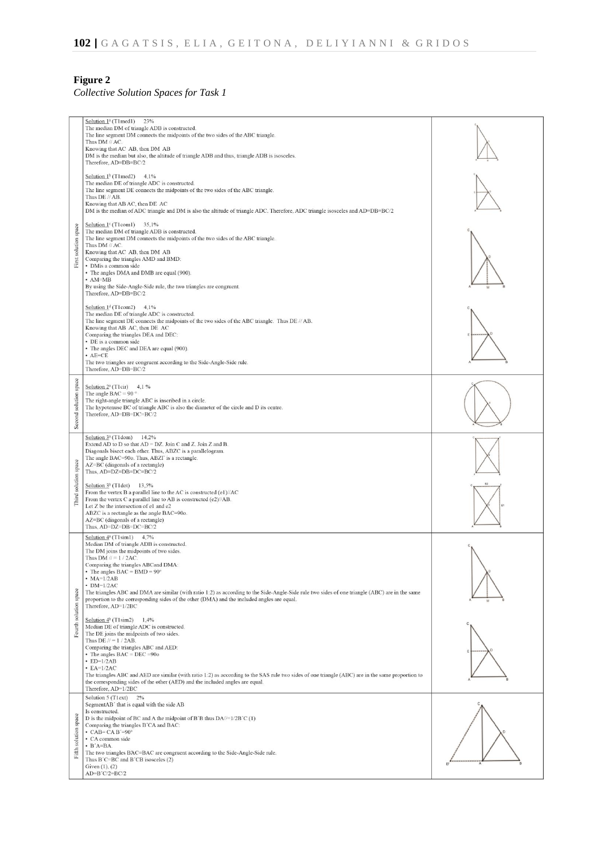# **Figure 2** *Collective Solution Spaces for Task 1*

|                       | Solution 1 <sup>ª</sup> (T1med1) 23%<br>The median DM of triangle ADB is constructed.<br>The line segment DM connects the midpoints of the two sides of the ABC triangle.<br>Thus DM // AC.<br>Knowing that AC AB, then DM AB<br>DM is the median but also, the altitude of triangle ADB and thus, triangle ADB is isosceles.<br>Therefore, AD=DB=BC/2                                                                                                                                                                                             |  |
|-----------------------|----------------------------------------------------------------------------------------------------------------------------------------------------------------------------------------------------------------------------------------------------------------------------------------------------------------------------------------------------------------------------------------------------------------------------------------------------------------------------------------------------------------------------------------------------|--|
|                       | Solution $1b$ (T1 med2) 4,1%<br>The median DE of triangle ADC is constructed.<br>The line segment DE connects the midpoints of the two sides of the ABC triangle.<br>Thus DE // AB.<br>Knowing that AB AC, then DE AC<br>DM is the median of ADC triangle and DM is also the altitude of triangle ADC. Therefore, ADC triangle isosceles and AD=DB=BC/2                                                                                                                                                                                            |  |
| First solution space  | Solution $1^c$ (T1com1) 35,1%<br>The median DM of triangle ADB is constructed.<br>The line segment DM connects the midpoints of the two sides of the ABC triangle.<br>Thus DM // AC.<br>Knowing that AC AB, then DM AB<br>Comparing the triangles AMD and BMD:<br>· DMis a common side<br>• The angles DMA and DMB are equal (900).<br>$\cdot$ AM=MB<br>By using the Side-Angle-Side rule, the two triangles are congruent.<br>Therefore, AD=DB=BC/2                                                                                               |  |
|                       | Solution $1d$ (T1com2) 4,1%<br>The median DE of triangle ADC is constructed.<br>The line segment DE connects the midpoints of the two sides of the ABC triangle. Thus DE // AB.<br>Knowing that AB AC, then DE AC<br>Comparing the triangles DEA and DEC:<br>• DE is a common side<br>• The angles DEC and DEA are equal (900).<br>$+$ AE=CE<br>The two triangles are congruent according to the Side-Angle-Side rule.<br>Therefore, AD=DB=BC/2                                                                                                    |  |
| Second solution space | Solution $2n$ (T1cir) 4,1 %<br>The angle BAC = 90 $^{\circ}$<br>The right-angle triangle ABC is inscribed in a circle.<br>The hypotenuse BC of triangle ABC is also the diameter of the circle and D its centre.<br>Therefore, AD=DB=DC=BC/2                                                                                                                                                                                                                                                                                                       |  |
|                       | Solution $3^a$ (T1dom) 14,2%<br>Extend AD to D so that AD = DZ. Join C and Z. Join Z and B.<br>Diagonals bisect each other. Thus, ABZC is a parallelogram.<br>The angle BAC=90o. Thus, ABZT is a rectangle.<br>AZ=BC (diagonals of a rectangle)<br>Thus, AD=DZ=DB=DC=BC/2                                                                                                                                                                                                                                                                          |  |
| Third solution space  | Solution $3^b$ (T1dot) 13,5%<br>From the vertex B a parallel line to the AC is constructed (e1)//AC<br>From the vertex C a parallel line to AB is constructed (e2)//AB.<br>Let Z be the intersection of e1 and e2<br>ABZC is a rectangle as the angle BAC=90o.<br>AZ=BC (diagonals of a rectangle)<br>Thus, AD=DZ=DB=DC=BC/2                                                                                                                                                                                                                       |  |
|                       | Solution $4^a$ (T1sim1) $4,7\%$<br>Median DM of triangle ADB is constructed.<br>The DM joins the midpoints of two sides.<br>Thus $DM$ // = 1 / 2AC.<br>Comparing the triangles ABCand DMA:<br>The angles $BAC = BMD = 90^{\circ}$<br>$\cdot$ MA=1/2AB<br>$\cdot$ DM=1/2AC<br>The triangles ABC and DMA are similar (with ratio 1:2) as according to the Side-Angle-Side rule two sides of one triangle (ABC) are in the same<br>proportion to the corresponding sides of the other (DMA) and the included angles are equal.<br>Therefore, AD=1/2BC |  |
| Fourth solution space | Solution $4^b$ (T1sim2) 1,4%<br>Median DE of triangle ADC is constructed.<br>The DE joins the midpoints of two sides.<br>Thus DE $\text{/}$ / = 1 / 2AB.<br>Comparing the triangles ABC and AED:<br>• The angles $BAC = DEC = 900$<br>$\cdot$ ED=1/2AB<br>$\cdot$ EA=1/2AC<br>The triangles ABC and AED are similar (with ratio 1:2) as according to the SAS rule two sides of one triangle (ABC) are in the same proportion to<br>the corresponding sides of the other (AED) and the included angles are equal.<br>Therefore, AD=1/2BC            |  |
| Fifth solution space  | Solution 5 (Tlext)<br>2%<br>SegmentAB' that is equal with the side AB<br>Is constructed.<br>D is the midpoint of BC and A the midpoint of B'B thus $DA$ /= $1/2B$ 'C (1)<br>Comparing the triangles B'CA and BAC:<br>$\cdot$ CAB= CAB'=90°<br>• CA common side<br>$\cdot$ B'A=BA.<br>The two triangles BAC=BAC are congruent according to the Side-Angle-Side rule.<br>Thus B'C=BC and B'CB isosceles (2)<br>Given $(1)$ , $(2)$<br>AD=B'C/2=BC/2                                                                                                  |  |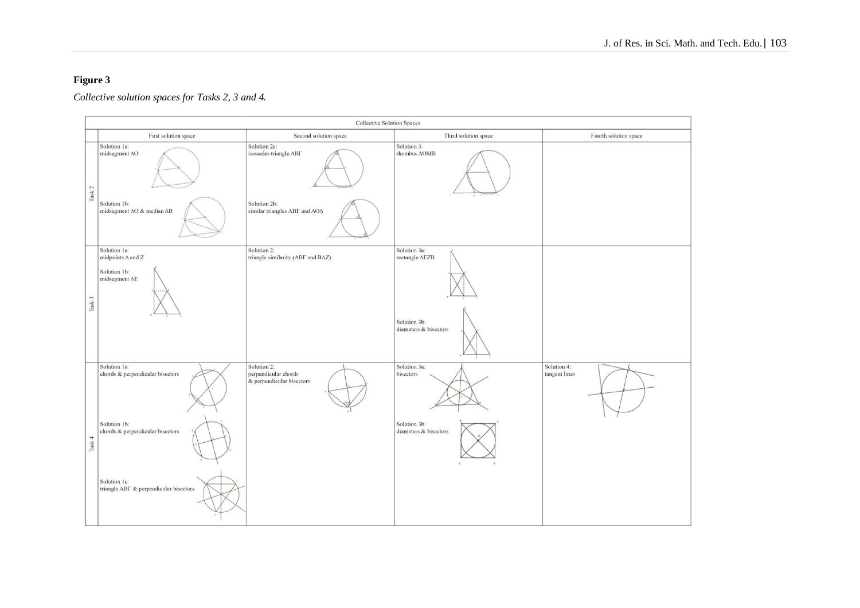# **Figure 3**

#### **Collective Solution Spaces** First solution space Second solution space Third solution space Fourth solution space Solution 3: Solution 1a: Solution 2a: midsegment AO isosceles triangle ABI rhombus AOMB Task<sub>2</sub> Solution 1b: Solution 2b: midsegment AO & median AB similar triangles ABF and AOA Solution 1a: Solution 2: Solution 3a: midpoints  $\Delta$  and Z triangle similarity (ABT and BAZ) rectangle AEZB Solution 1b: midsegment  $\Delta E$ Task 3 Solution 3b: diameters & bisectors Solution 1a: Solution 2: Solution 4: Solution 3a: chords & perpendicular bisectors perpendicular chords bisectors tangent lines & perpendicular bisectors Solution 1b: Solution 3b: chords & perpendicular bisectors diameters & bisectors l'ask 4 Solution 1c: triangle ABF & perpendicular bisectors

*Collective solution spaces for Tasks 2, 3 and 4.*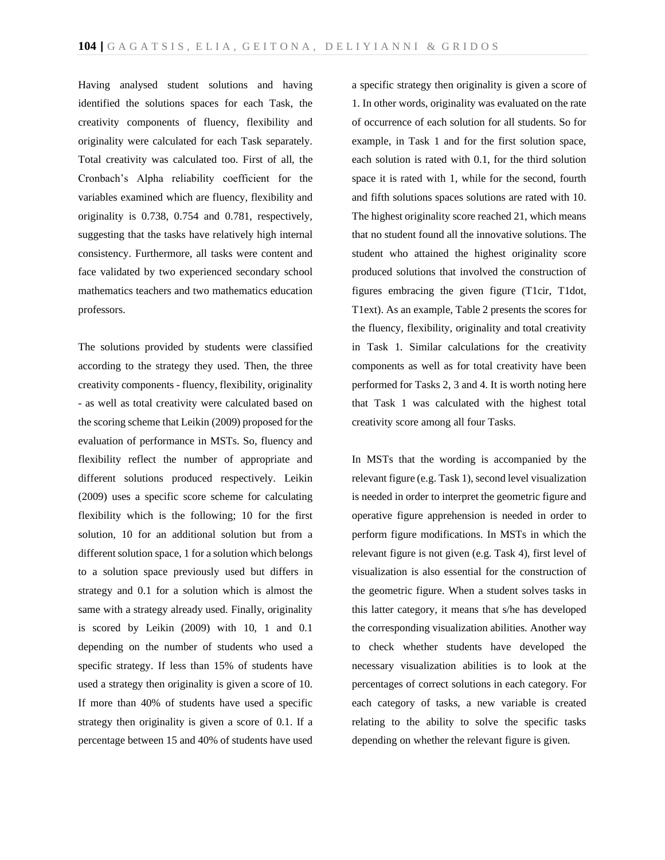Having analysed student solutions and having identified the solutions spaces for each Task, the creativity components of fluency, flexibility and originality were calculated for each Task separately. Total creativity was calculated too. First of all, the Cronbach's Alpha reliability coefficient for the variables examined which are fluency, flexibility and originality is 0.738, 0.754 and 0.781, respectively, suggesting that the tasks have relatively high internal consistency. Furthermore, all tasks were content and face validated by two experienced secondary school mathematics teachers and two mathematics education professors.

The solutions provided by students were classified according to the strategy they used. Then, the three creativity components - fluency, flexibility, originality - as well as total creativity were calculated based on the scoring scheme that Leikin (2009) proposed for the evaluation of performance in MSTs. So, fluency and flexibility reflect the number of appropriate and different solutions produced respectively. Leikin (2009) uses a specific score scheme for calculating flexibility which is the following; 10 for the first solution, 10 for an additional solution but from a different solution space, 1 for a solution which belongs to a solution space previously used but differs in strategy and 0.1 for a solution which is almost the same with a strategy already used. Finally, originality is scored by Leikin (2009) with 10, 1 and 0.1 depending on the number of students who used a specific strategy. If less than 15% of students have used a strategy then originality is given a score of 10. If more than 40% of students have used a specific strategy then originality is given a score of 0.1. If a percentage between 15 and 40% of students have used

a specific strategy then originality is given a score of 1. In other words, originality was evaluated on the rate of occurrence of each solution for all students. So for example, in Task 1 and for the first solution space, each solution is rated with 0.1, for the third solution space it is rated with 1, while for the second, fourth and fifth solutions spaces solutions are rated with 10. The highest originality score reached 21, which means that no student found all the innovative solutions. The student who attained the highest originality score produced solutions that involved the construction of figures embracing the given figure (T1cir, T1dot, T1ext). As an example, Table 2 presents the scores for the fluency, flexibility, originality and total creativity in Task 1. Similar calculations for the creativity components as well as for total creativity have been performed for Tasks 2, 3 and 4. It is worth noting here that Task 1 was calculated with the highest total creativity score among all four Tasks.

In MSTs that the wording is accompanied by the relevant figure (e.g. Task 1), second level visualization is needed in order to interpret the geometric figure and operative figure apprehension is needed in order to perform figure modifications. In MSTs in which the relevant figure is not given (e.g. Task 4), first level of visualization is also essential for the construction of the geometric figure. When a student solves tasks in this latter category, it means that s/he has developed the corresponding visualization abilities. Another way to check whether students have developed the necessary visualization abilities is to look at the percentages of correct solutions in each category. For each category of tasks, a new variable is created relating to the ability to solve the specific tasks depending on whether the relevant figure is given.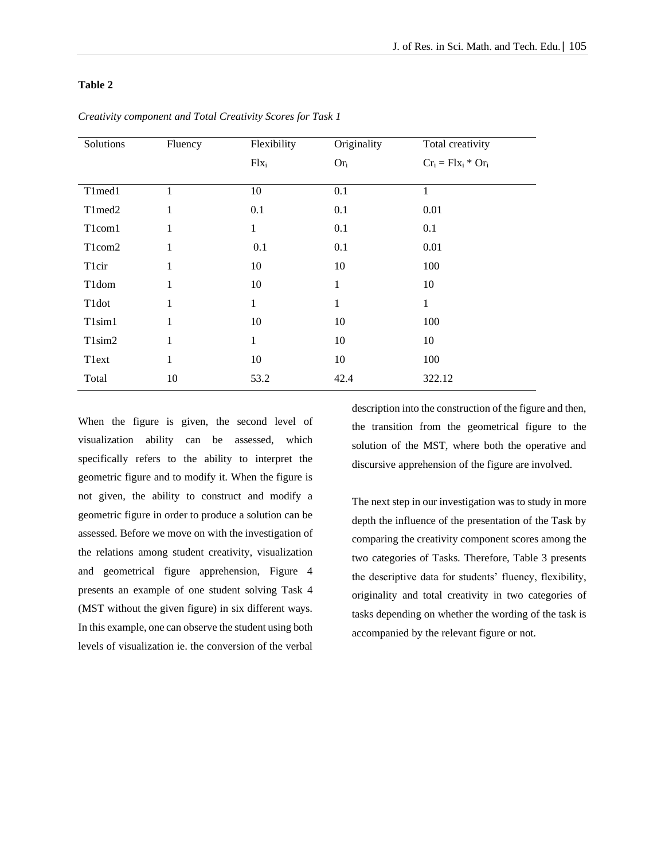### **Table 2**

| Solutions                       | Fluency      | Flexibility | Originality | Total creativity      |
|---------------------------------|--------------|-------------|-------------|-----------------------|
|                                 |              | $Flx_i$     | $Or_i$      | $Cr_i = Flx_i * Or_i$ |
|                                 |              |             |             |                       |
| T1med1                          | 1            | 10          | 0.1         | 1                     |
| T1med2                          | $\mathbf{1}$ | 0.1         | 0.1         | 0.01                  |
| T1com1                          | $\mathbf{1}$ | 1           | 0.1         | 0.1                   |
| T1com2                          | $\mathbf{1}$ | 0.1         | 0.1         | 0.01                  |
| Tlcir                           | $\mathbf{1}$ | 10          | 10          | 100                   |
| T <sub>1</sub> dom              | $\mathbf{1}$ | 10          | 1           | 10                    |
| T1dot                           | $\mathbf{1}$ | 1           | 1           | 1                     |
| T1sim1                          | $\mathbf{1}$ | 10          | 10          | 100                   |
| T <sub>1</sub> sim <sub>2</sub> | $\mathbf{1}$ | 1           | 10          | 10                    |
| Tlext                           | $\mathbf{1}$ | 10          | 10          | 100                   |
| Total                           | 10           | 53.2        | 42.4        | 322.12                |

*Creativity component and Total Creativity Scores for Task 1*

When the figure is given, the second level of visualization ability can be assessed, which specifically refers to the ability to interpret the geometric figure and to modify it. When the figure is not given, the ability to construct and modify a geometric figure in order to produce a solution can be assessed. Before we move on with the investigation of the relations among student creativity, visualization and geometrical figure apprehension, Figure 4 presents an example of one student solving Task 4 (MST without the given figure) in six different ways. In this example, one can observe the student using both levels of visualization ie. the conversion of the verbal

description into the construction of the figure and then, the transition from the geometrical figure to the solution of the MST, where both the operative and discursive apprehension of the figure are involved.

The next step in our investigation was to study in more depth the influence of the presentation of the Task by comparing the creativity component scores among the two categories of Tasks. Therefore, Table 3 presents the descriptive data for students' fluency, flexibility, originality and total creativity in two categories of tasks depending on whether the wording of the task is accompanied by the relevant figure or not.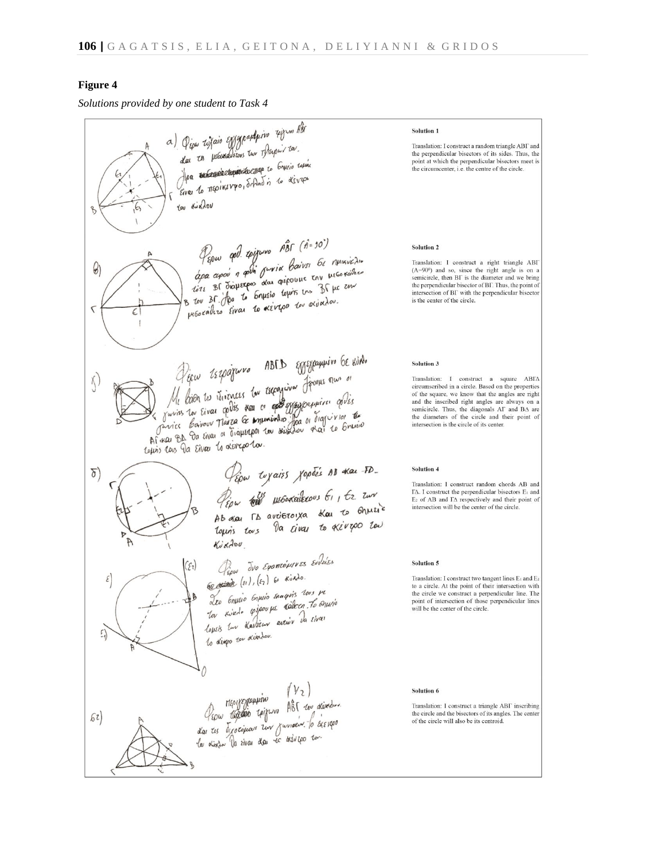### **Figure 4**

*Solutions provided by one student to Task 4*

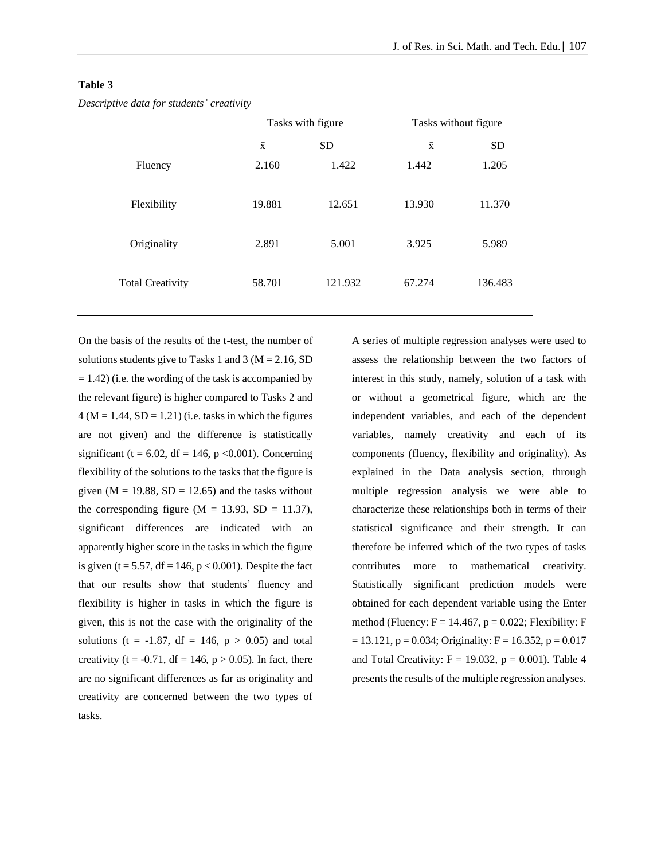### **Table 3**

*Descriptive data for students' creativity*

|                         |                    | Tasks with figure |                    | Tasks without figure |
|-------------------------|--------------------|-------------------|--------------------|----------------------|
|                         | $\bar{\textbf{x}}$ | <b>SD</b>         | $\bar{\textbf{x}}$ | <b>SD</b>            |
| Fluency                 | 2.160              | 1.422             | 1.442              | 1.205                |
| Flexibility             | 19.881             | 12.651            | 13.930             | 11.370               |
| Originality             | 2.891              | 5.001             | 3.925              | 5.989                |
| <b>Total Creativity</b> | 58.701             | 121.932           | 67.274             | 136.483              |

On the basis of the results of the t-test, the number of solutions students give to Tasks 1 and 3 ( $M = 2.16$ , SD  $= 1.42$ ) (i.e. the wording of the task is accompanied by the relevant figure) is higher compared to Tasks 2 and  $4 (M = 1.44, SD = 1.21)$  (i.e. tasks in which the figures are not given) and the difference is statistically significant (t = 6.02, df = 146, p < 0.001). Concerning flexibility of the solutions to the tasks that the figure is given  $(M = 19.88, SD = 12.65)$  and the tasks without the corresponding figure ( $M = 13.93$ ,  $SD = 11.37$ ), significant differences are indicated with an apparently higher score in the tasks in which the figure is given (t = 5.57, df = 146,  $p < 0.001$ ). Despite the fact that our results show that students' fluency and flexibility is higher in tasks in which the figure is given, this is not the case with the originality of the solutions (t = -1.87, df = 146,  $p > 0.05$ ) and total creativity (t = -0.71, df = 146,  $p > 0.05$ ). In fact, there are no significant differences as far as originality and creativity are concerned between the two types of tasks.

A series of multiple regression analyses were used to assess the relationship between the two factors of interest in this study, namely, solution of a task with or without a geometrical figure, which are the independent variables, and each of the dependent variables, namely creativity and each of its components (fluency, flexibility and originality). As explained in the Data analysis section, through multiple regression analysis we were able to characterize these relationships both in terms of their statistical significance and their strength. It can therefore be inferred which of the two types of tasks contributes more to mathematical creativity. Statistically significant prediction models were obtained for each dependent variable using the Enter method (Fluency:  $F = 14.467$ ,  $p = 0.022$ ; Flexibility: F  $= 13.121$ ,  $p = 0.034$ ; Originality:  $F = 16.352$ ,  $p = 0.017$ and Total Creativity:  $F = 19.032$ ,  $p = 0.001$ ). Table 4 presents the results of the multiple regression analyses.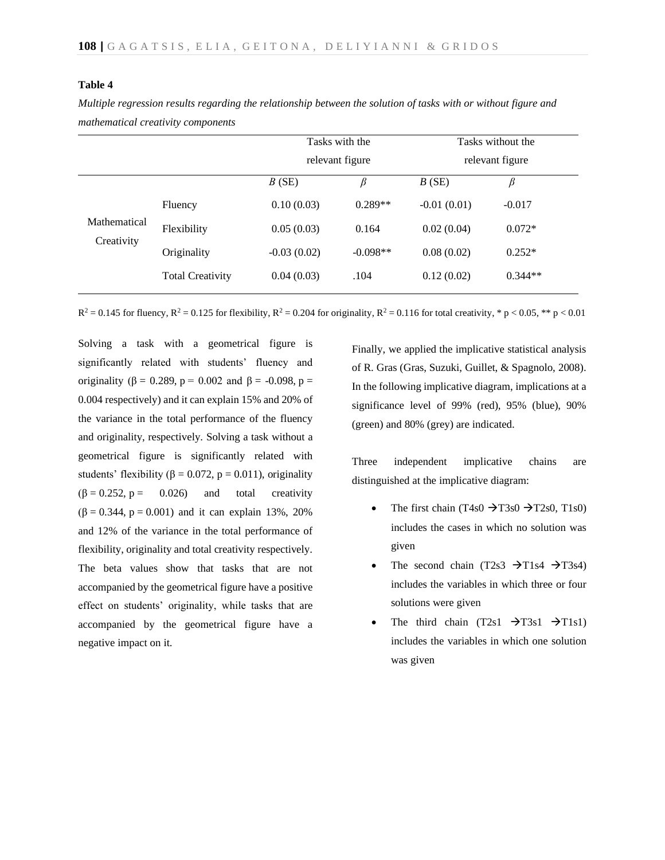### **Table 4**

|                            |                         | Tasks with the<br>relevant figure |            | Tasks without the<br>relevant figure |           |
|----------------------------|-------------------------|-----------------------------------|------------|--------------------------------------|-----------|
|                            |                         | B(SE)                             | β          | B(SE)                                | β         |
|                            | Fluency                 | 0.10(0.03)                        | $0.289**$  | $-0.01(0.01)$                        | $-0.017$  |
| Mathematical<br>Creativity | Flexibility             | 0.05(0.03)                        | 0.164      | 0.02(0.04)                           | $0.072*$  |
|                            | Originality             | $-0.03(0.02)$                     | $-0.098**$ | 0.08(0.02)                           | $0.252*$  |
|                            | <b>Total Creativity</b> | 0.04(0.03)                        | .104       | 0.12(0.02)                           | $0.344**$ |

*Multiple regression results regarding the relationship between the solution of tasks with or without figure and mathematical creativity components*

 $R^2 = 0.145$  for fluency,  $R^2 = 0.125$  for flexibility,  $R^2 = 0.204$  for originality,  $R^2 = 0.116$  for total creativity, \* p < 0.05, \*\* p < 0.01

Solving a task with a geometrical figure is significantly related with students' fluency and originality (β = 0.289, p = 0.002 and β = -0.098, p = 0.004 respectively) and it can explain 15% and 20% of the variance in the total performance of the fluency and originality, respectively. Solving a task without a geometrical figure is significantly related with students' flexibility ( $\beta = 0.072$ ,  $p = 0.011$ ), originality  $(\beta = 0.252, p = 0.026)$  and total creativity  $(β = 0.344, p = 0.001)$  and it can explain 13%, 20% and 12% of the variance in the total performance of flexibility, originality and total creativity respectively. The beta values show that tasks that are not accompanied by the geometrical figure have a positive effect on students' originality, while tasks that are accompanied by the geometrical figure have a negative impact on it.

Finally, we applied the implicative statistical analysis of R. Gras (Gras, Suzuki, Guillet, & Spagnolo, 2008). In the following implicative diagram, implications at a significance level of 99% (red), 95% (blue), 90% (green) and 80% (grey) are indicated.

Three independent implicative chains are distinguished at the implicative diagram:

- The first chain (T4s0  $\rightarrow$ T3s0  $\rightarrow$ T2s0, T1s0) includes the cases in which no solution was given
- The second chain (T2s3  $\rightarrow$ T1s4  $\rightarrow$ T3s4) includes the variables in which three or four solutions were given
- The third chain  $(T2s1 \rightarrow T3s1 \rightarrow T1s1)$ includes the variables in which one solution was given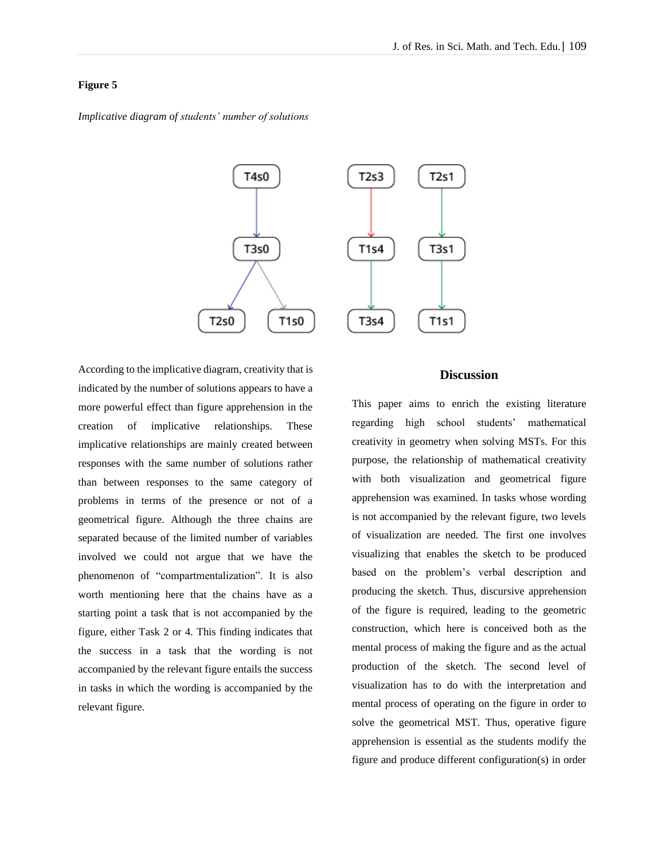## **Figure 5**

*Implicative diagram of students' number of solutions*



According to the implicative diagram, creativity that is indicated by the number of solutions appears to have a more powerful effect than figure apprehension in the creation of implicative relationships. These implicative relationships are mainly created between responses with the same number of solutions rather than between responses to the same category of problems in terms of the presence or not of a geometrical figure. Although the three chains are separated because of the limited number of variables involved we could not argue that we have the phenomenon of "compartmentalization". It is also worth mentioning here that the chains have as a starting point a task that is not accompanied by the figure, either Task 2 or 4. This finding indicates that the success in a task that the wording is not accompanied by the relevant figure entails the success in tasks in which the wording is accompanied by the relevant figure.

# **Discussion**

This paper aims to enrich the existing literature regarding high school students' mathematical creativity in geometry when solving MSTs. For this purpose, the relationship of mathematical creativity with both visualization and geometrical figure apprehension was examined. In tasks whose wording is not accompanied by the relevant figure, two levels of visualization are needed. The first one involves visualizing that enables the sketch to be produced based on the problem's verbal description and producing the sketch. Thus, discursive apprehension of the figure is required, leading to the geometric construction, which here is conceived both as the mental process of making the figure and as the actual production of the sketch. The second level of visualization has to do with the interpretation and mental process of operating on the figure in order to solve the geometrical MST. Thus, operative figure apprehension is essential as the students modify the figure and produce different configuration(s) in order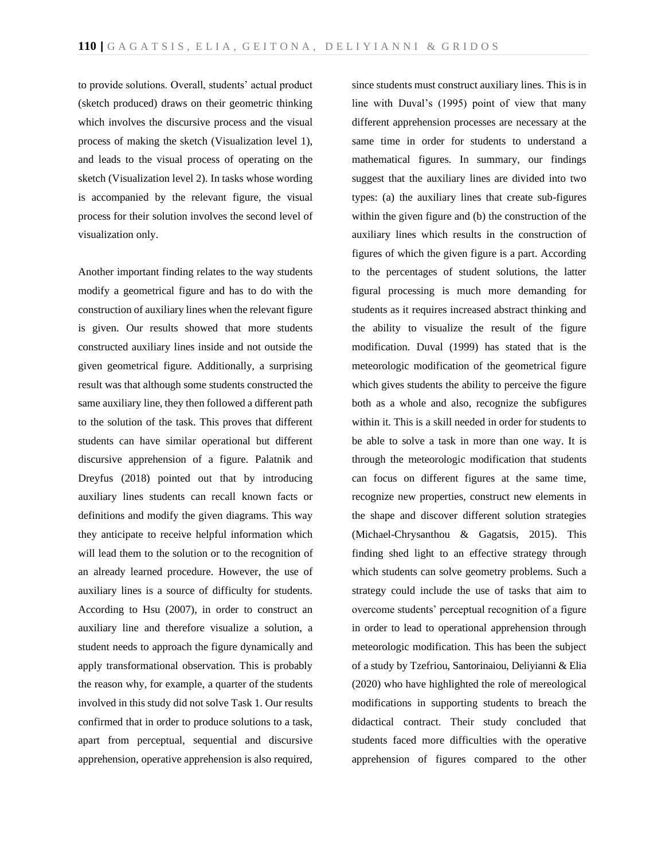to provide solutions. Overall, students' actual product (sketch produced) draws on their geometric thinking which involves the discursive process and the visual process of making the sketch (Visualization level 1), and leads to the visual process of operating on the sketch (Visualization level 2). In tasks whose wording is accompanied by the relevant figure, the visual process for their solution involves the second level of visualization only.

Another important finding relates to the way students modify a geometrical figure and has to do with the construction of auxiliary lines when the relevant figure is given. Our results showed that more students constructed auxiliary lines inside and not outside the given geometrical figure. Additionally, a surprising result was that although some students constructed the same auxiliary line, they then followed a different path to the solution of the task. This proves that different students can have similar operational but different discursive apprehension of a figure. Palatnik and Dreyfus (2018) pointed out that by introducing auxiliary lines students can recall known facts or definitions and modify the given diagrams. This way they anticipate to receive helpful information which will lead them to the solution or to the recognition of an already learned procedure. However, the use of auxiliary lines is a source of difficulty for students. According to Hsu (2007), in order to construct an auxiliary line and therefore visualize a solution, a student needs to approach the figure dynamically and apply transformational observation. This is probably the reason why, for example, a quarter of the students involved in this study did not solve Task 1. Our results confirmed that in order to produce solutions to a task, apart from perceptual, sequential and discursive apprehension, operative apprehension is also required,

since students must construct auxiliary lines. This is in line with Duval's (1995) point of view that many different apprehension processes are necessary at the same time in order for students to understand a mathematical figures. In summary, our findings suggest that the auxiliary lines are divided into two types: (a) the auxiliary lines that create sub-figures within the given figure and (b) the construction of the auxiliary lines which results in the construction of figures of which the given figure is a part. According to the percentages of student solutions, the latter figural processing is much more demanding for students as it requires increased abstract thinking and the ability to visualize the result of the figure modification. Duval (1999) has stated that is the meteorologic modification of the geometrical figure which gives students the ability to perceive the figure both as a whole and also, recognize the subfigures within it. This is a skill needed in order for students to be able to solve a task in more than one way. It is through the meteorologic modification that students can focus on different figures at the same time, recognize new properties, construct new elements in the shape and discover different solution strategies (Michael-Chrysanthou & Gagatsis, 2015). This finding shed light to an effective strategy through which students can solve geometry problems. Such a strategy could include the use of tasks that aim to overcome students' perceptual recognition of a figure in order to lead to operational apprehension through meteorologic modification. This has been the subject of a study by Tzefriou, Santorinaiou, Deliyianni & Elia (2020) who have highlighted the role of mereological modifications in supporting students to breach the didactical contract. Their study concluded that students faced more difficulties with the operative apprehension of figures compared to the other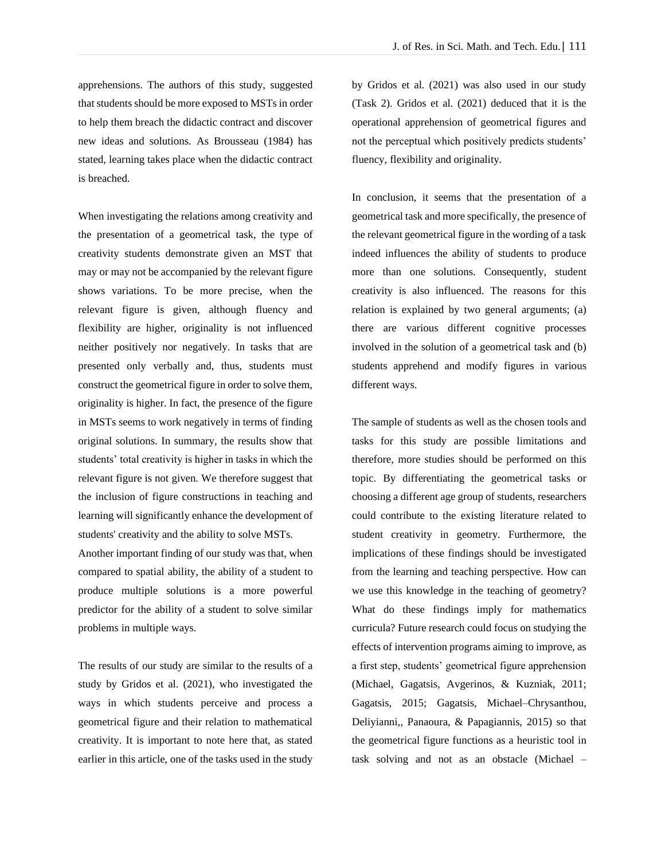apprehensions. The authors of this study, suggested that students should be more exposed to MSTs in order to help them breach the didactic contract and discover new ideas and solutions. As Brousseau (1984) has stated, learning takes place when the didactic contract is breached.

When investigating the relations among creativity and the presentation of a geometrical task, the type of creativity students demonstrate given an MST that may or may not be accompanied by the relevant figure shows variations. To be more precise, when the relevant figure is given, although fluency and flexibility are higher, originality is not influenced neither positively nor negatively. In tasks that are presented only verbally and, thus, students must construct the geometrical figure in order to solve them, originality is higher. In fact, the presence of the figure in MSTs seems to work negatively in terms of finding original solutions. In summary, the results show that students' total creativity is higher in tasks in which the relevant figure is not given. We therefore suggest that the inclusion of figure constructions in teaching and learning will significantly enhance the development of students' creativity and the ability to solve MSTs.

Another important finding of our study was that, when compared to spatial ability, the ability of a student to produce multiple solutions is a more powerful predictor for the ability of a student to solve similar problems in multiple ways.

The results of our study are similar to the results of a study by Gridos et al. (2021), who investigated the ways in which students perceive and process a geometrical figure and their relation to mathematical creativity. It is important to note here that, as stated earlier in this article, one of the tasks used in the study by Gridos et al. (2021) was also used in our study (Task 2). Gridos et al. (2021) deduced that it is the operational apprehension of geometrical figures and not the perceptual which positively predicts students' fluency, flexibility and originality.

In conclusion, it seems that the presentation of a geometrical task and more specifically, the presence of the relevant geometrical figure in the wording of a task indeed influences the ability of students to produce more than one solutions. Consequently, student creativity is also influenced. The reasons for this relation is explained by two general arguments; (a) there are various different cognitive processes involved in the solution of a geometrical task and (b) students apprehend and modify figures in various different ways.

The sample of students as well as the chosen tools and tasks for this study are possible limitations and therefore, more studies should be performed on this topic. By differentiating the geometrical tasks or choosing a different age group of students, researchers could contribute to the existing literature related to student creativity in geometry. Furthermore, the implications of these findings should be investigated from the learning and teaching perspective. How can we use this knowledge in the teaching of geometry? What do these findings imply for mathematics curricula? Future research could focus on studying the effects of intervention programs aiming to improve, as a first step, students' geometrical figure apprehension (Michael, Gagatsis, Avgerinos, & Kuzniak, 2011; Gagatsis, 2015; Gagatsis, Michael–Chrysanthou, Deliyianni,, Panaoura, & Papagiannis, 2015) so that the geometrical figure functions as a heuristic tool in task solving and not as an obstacle (Michael –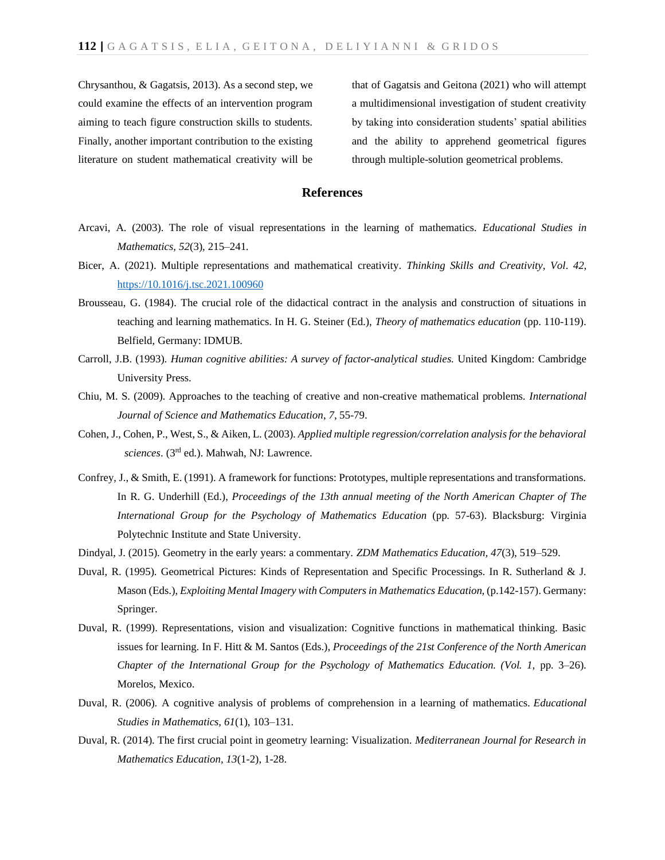Chrysanthou, & Gagatsis, 2013). As a second step, we could examine the effects of an intervention program aiming to teach figure construction skills to students. Finally, another important contribution to the existing literature on student mathematical creativity will be

that of Gagatsis and Geitona (2021) who will attempt a multidimensional investigation of student creativity by taking into consideration students' spatial abilities and the ability to apprehend geometrical figures through multiple-solution geometrical problems.

## **References**

- Arcavi, A. (2003). The role of visual representations in the learning of mathematics. *Educational Studies in Mathematics, 52*(3), 215–241.
- Bicer, A. (2021). Multiple representations and mathematical creativity. *Thinking Skills and Creativity*, *Vol*. *42*, [https://10.1016/j.tsc.2021.100960](https://10.0.3.248/j.tsc.2021.100960)
- Brousseau, G. (1984). The crucial role of the didactical contract in the analysis and construction of situations in teaching and learning mathematics. In H. G. Steiner (Ed.), *Theory of mathematics education* (pp. 110-119). Belfield, Germany: IDMUB.
- Carroll, J.B. (1993). *Human cognitive abilities: A survey of factor-analytical studies.* United Kingdom: Cambridge University Press.
- Chiu, M. S. (2009). Approaches to the teaching of creative and non-creative mathematical problems. *International Journal of Science and Mathematics Education*, *7*, 55-79.
- Cohen, J., Cohen, P., West, S., & Aiken, L. (2003). *Applied multiple regression/correlation analysis for the behavioral sciences*. (3rd ed.). Mahwah, NJ: Lawrence.
- Confrey, J., & Smith, E. (1991). A framework for functions: Prototypes, multiple representations and transformations. In R. G. Underhill (Ed.), *Proceedings of the 13th annual meeting of the North American Chapter of The International Group for the Psychology of Mathematics Education* (pp. 57-63). Blacksburg: Virginia Polytechnic Institute and State University.
- Dindyal, J. (2015). Geometry in the early years: a commentary. *ZDM Mathematics Education, 47*(3), 519–529.
- Duval, R. (1995). Geometrical Pictures: Kinds of Representation and Specific Processings. In R. Sutherland & J. Mason (Eds.), *Exploiting Mental Imagery with Computers in Mathematics Education*, (p.142-157). Germany: Springer.
- Duval, R. (1999). Representations, vision and visualization: Cognitive functions in mathematical thinking. Basic issues for learning. In F. Hitt & M. Santos (Eds.), *Proceedings of the 21st Conference of the North American Chapter of the International Group for the Psychology of Mathematics Education. (Vol. 1,* pp. 3–26). Morelos, Mexico.
- Duval, R. (2006). A cognitive analysis of problems of comprehension in a learning of mathematics. *Educational Studies in Mathematics, 61*(1), 103–131.
- Duval, R. (2014). The first crucial point in geometry learning: Visualization. *Mediterranean Journal for Research in Mathematics Education, 13*(1-2), 1-28.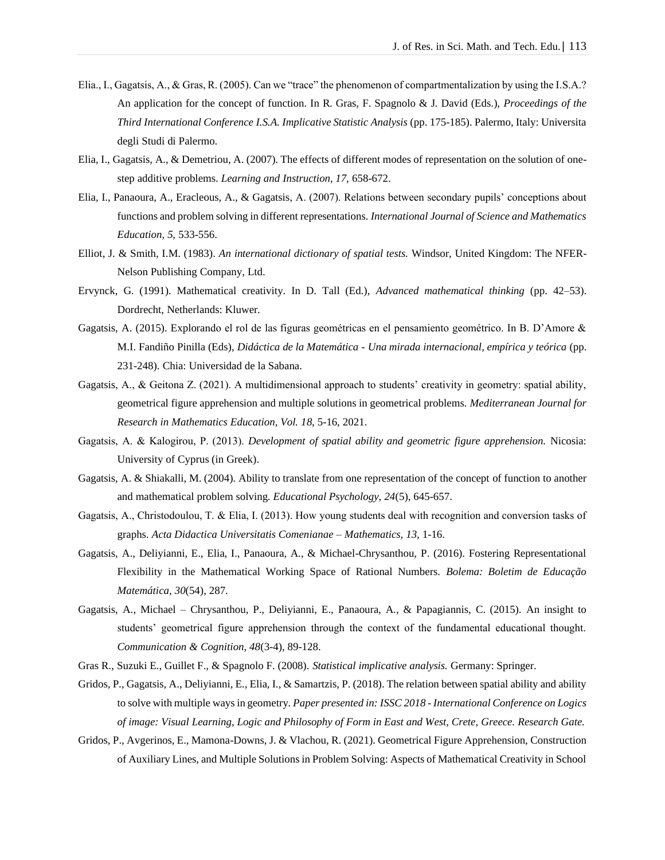- Elia., I., Gagatsis, A., & Gras, R. (2005). Can we "trace" the phenomenon of compartmentalization by using the I.S.A.? An application for the concept of function. In R. Gras, F. Spagnolo & J. David (Eds.), *Proceedings of the Third International Conference I.S.A. Implicative Statistic Analysis* (pp. 175-185). Palermo, Italy: Universita degli Studi di Palermo.
- Elia, I., Gagatsis, A., & Demetriou, A. (2007). The effects of different modes of representation on the solution of onestep additive problems. *Learning and Instruction, 17,* 658-672.
- Elia, I., Panaoura, A., Eracleous, A., & Gagatsis, A. (2007). Relations between secondary pupils' conceptions about functions and problem solving in different representations. *International Journal of Science and Mathematics Education, 5,* 533-556.
- Elliot, J. & Smith, I.M. (1983). *An international dictionary of spatial tests.* Windsor, United Kingdom: The NFER-Nelson Publishing Company, Ltd.
- Ervynck, G. (1991). Mathematical creativity. In D. Tall (Ed.), *Advanced mathematical thinking* (pp. 42–53). Dordrecht, Netherlands: Kluwer.
- Gagatsis, A. (2015). Explorando el rol de las figuras geométricas en el pensamiento geométrico. In B. D'Amore & M.I. Fandiño Pinilla (Eds), *Didáctica de la Matemática - Una mirada internacional, empírica y teórica* (pp. 231-248). Chia: Universidad de la Sabana.
- Gagatsis, A., & Geitona Z. (2021). A multidimensional approach to students' creativity in geometry: spatial ability, geometrical figure apprehension and multiple solutions in geometrical problems. *Mediterranean Journal for Research in Mathematics Education, Vol. 18*, 5-16, 2021.
- Gagatsis, Α. & Kalogirou, P. (2013). *Development of spatial ability and geometric figure apprehension.* Nicosia: University of Cyprus (in Greek).
- Gagatsis, A. & Shiakalli, M. (2004). Ability to translate from one representation of the concept of function to another and mathematical problem solving. *Educational Psychology, 24*(5), 645-657.
- Gagatsis, Α., Christodoulou, T. & Elia, Ι. (2013). How young students deal with recognition and conversion tasks of graphs. *Acta Didactica Universitatis Comenianae – Mathematics, 13,* 1-16.
- Gagatsis, A., Deliyianni, E., Elia, I., Panaoura, A., & Michael-Chrysanthou, P. (2016). Fostering Representational Flexibility in the Mathematical Working Space of Rational Numbers. *Bolema: Boletim de Educação Matemática, 30*(54), 287.
- Gagatsis, A., Michael Chrysanthou, P., Deliyianni, E., Panaoura, A., & Papagiannis, C. (2015). An insight to students' geometrical figure apprehension through the context of the fundamental educational thought. *Communication & Cognition, 48*(3-4), 89-128.
- Gras R., Suzuki E., Guillet F., & Spagnolo F. (2008). *Statistical implicative analysis.* Germany: Springer.
- Gridos, P., Gagatsis, A., Deliyianni, E., Elia, I., & Samartzis, P. (2018). The relation between spatial ability and ability to solve with multiple ways in geometry*. Paper presented in: ISSC 2018 - International Conference on Logics of image: Visual Learning, Logic and Philosophy of Form in East and West, Crete, Greece. Research Gate.*
- Gridos, P., Avgerinos, E., Mamona-Downs, J. & Vlachou, R. (2021). Geometrical Figure Apprehension, Construction of Auxiliary Lines, and Multiple Solutions in Problem Solving: Aspects of Mathematical Creativity in School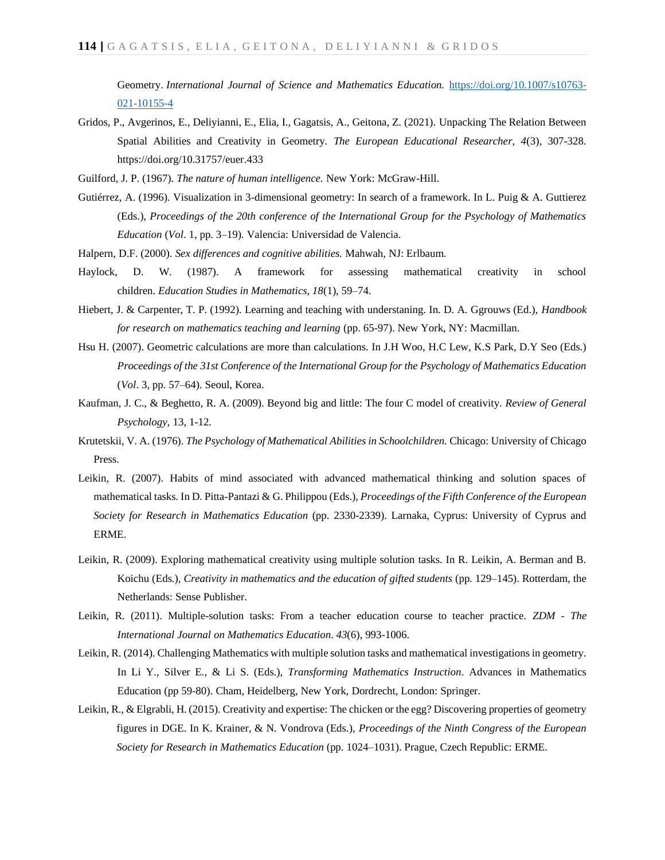Geometry. *International Journal of Science and Mathematics Education.* [https://doi.org/10.1007/s10763-](https://doi.org/10.1007/s10763-021-10155-4) [021-10155-4](https://doi.org/10.1007/s10763-021-10155-4)

- Gridos, P., Avgerinos, E., Deliyianni, E., Elia, I., Gagatsis, A., Geitona, Z. (2021). Unpacking The Relation Between Spatial Abilities and Creativity in Geometry. *The European Educational Researcher, 4*(3), 307-328. <https://doi.org/10.31757/euer.433>
- Guilford, J. P. (1967). *The nature of human intelligence.* New York: McGraw-Hill.
- Gutiérrez, A. (1996). Visualization in 3-dimensional geometry: In search of a framework. In L. Puig & A. Guttierez (Eds.), *Proceedings of the 20th conference of the International Group for the Psychology of Mathematics Education* (*Vol*. 1, pp. 3–19). Valencia: Universidad de Valencia.
- Halpern, D.F. (2000). *Sex differences and cognitive abilities.* Mahwah, NJ: Erlbaum.
- Haylock, D. W. (1987). A framework for assessing mathematical creativity in school children. *Education Studies in Mathematics, 18*(1), 59–74.
- Hiebert, J. & Carpenter, T. P. (1992). Learning and teaching with understaning. In. D. A. Ggrouws (Ed.), *Handbook for research on mathematics teaching and learning* (pp. 65-97). New York, NY: Macmillan.
- Hsu H. (2007). Geometric calculations are more than calculations. In J.H Woo, H.C Lew, K.S Park, D.Y Seo (Eds.) *Proceedings of the 31st Conference of the International Group for the Psychology of Mathematics Education* (*Vol*. 3, pp. 57–64). Seoul, Korea.
- Kaufman, J. C., & Beghetto, R. A. (2009). Beyond big and little: The four C model of creativity. *Review of General Psychology,* 13, 1-12.
- Krutetskii, V. A. (1976). *The Psychology of Mathematical Abilities in Schoolchildren.* Chicago: University of Chicago Press.
- Leikin, R. (2007). Habits of mind associated with advanced mathematical thinking and solution spaces of mathematical tasks. In D. Pitta-Pantazi & G. Philippou (Eds.), *Proceedings of the Fifth Conference of the European Society for Research in Mathematics Education* (pp. 2330-2339). Larnaka, Cyprus: University of Cyprus and ERME.
- Leikin, R. (2009). Exploring mathematical creativity using multiple solution tasks. In R. Leikin, A. Berman and B. Koichu (Eds.), *Creativity in mathematics and the education of gifted students* (pp. 129–145). Rotterdam, the Netherlands: Sense Publisher.
- Leikin, R. (2011). Multiple-solution tasks: From a teacher education course to teacher practice. *ZDM - The International Journal on Mathematics Education*. *43*(6), 993-1006.
- Leikin, R. (2014). Challenging Mathematics with multiple solution tasks and mathematical investigations in geometry. In Li Y., Silver E., & Li S. (Eds.), *Transforming Mathematics Instruction*. Advances in Mathematics Education (pp 59-80). Cham, Heidelberg, New York, Dordrecht, London: Springer.
- Leikin, R., & Elgrabli, H. (2015). Creativity and expertise: The chicken or the egg? Discovering properties of geometry figures in DGE. In K. Krainer, & N. Vondrova (Eds.), *Proceedings of the Ninth Congress of the European Society for Research in Mathematics Education* (pp. 1024–1031). Prague, Czech Republic: ERME.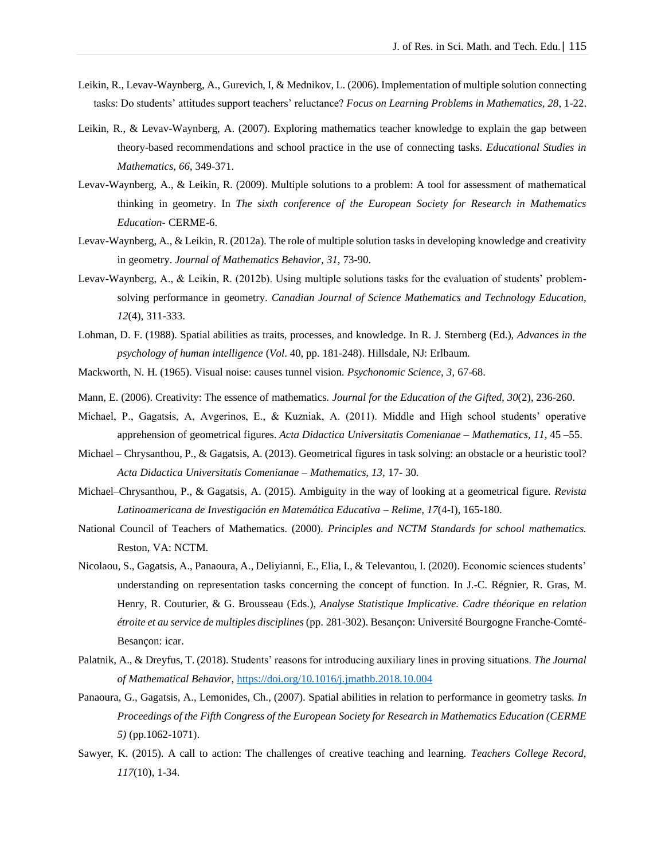- Leikin, R., Levav-Waynberg, A., Gurevich, I, & Mednikov, L. (2006). Implementation of multiple solution connecting tasks: Do students' attitudes support teachers' reluctance? *Focus on Learning Problems in Mathematics, 28*, 1-22.
- Leikin, R., & Levav-Waynberg, A. (2007). Exploring mathematics teacher knowledge to explain the gap between theory-based recommendations and school practice in the use of connecting tasks. *Educational Studies in Mathematics, 66*, 349-371.
- Levav-Waynberg, A., & Leikin, R. (2009). Multiple solutions to a problem: A tool for assessment of mathematical thinking in geometry. In *The sixth conference of the European Society for Research in Mathematics Education-* CERME-6.
- Levav-Waynberg, A., & Leikin, R. (2012a). The role of multiple solution tasks in developing knowledge and creativity in geometry. *Journal of Mathematics Behavior, 31*, 73-90.
- Levav-Waynberg, A., & Leikin, R. (2012b). Using multiple solutions tasks for the evaluation of students' problemsolving performance in geometry. *Canadian Journal of Science Mathematics and Technology Education, 12*(4), 311-333.
- Lohman, D. F. (1988). Spatial abilities as traits, processes, and knowledge. In R. J. Sternberg (Ed.), *Advances in the psychology of human intelligence* (*Vol*. 40, pp. 181-248). Hillsdale, NJ: Erlbaum.
- Mackworth, N. H. (1965). Visual noise: causes tunnel vision. *Psychonomic Science, 3*, 67-68.
- Mann, E. (2006). Creativity: The essence of mathematics. *Journal for the Education of the Gifted, 30*(2), 236-260.
- Michael, P., Gagatsis, A, Avgerinos, E., & Kuzniak, A. (2011). Middle and High school students' operative apprehension of geometrical figures. *Acta Didactica Universitatis Comenianae – Mathematics, 11,* 45 –55.
- Michael Chrysanthou, P., & Gagatsis, A. (2013). Geometrical figures in task solving: an obstacle or a heuristic tool? *Acta Didactica Universitatis Comenianae – Mathematics, 13,* 17- 30.
- Michael–Chrysanthou, P., & Gagatsis, A. (2015). Ambiguity in the way of looking at a geometrical figure. *Revista Latinoamericana de Investigación en Matemática Educativa – Relime, 17*(4-I), 165-180.
- National Council of Teachers of Mathematics. (2000). *Principles and NCTM Standards for school mathematics.*  Reston, VA: NCTM.
- Nicolaou, S., Gagatsis, A., Panaoura, A., Deliyianni, E., Elia, I., & Televantou, I. (2020). Economic sciences students' understanding on representation tasks concerning the concept of function. In J.-C. Régnier, R. Gras, M. Henry, R. Couturier, & G. Brousseau (Eds.), *Analyse Statistique Implicative. Cadre théorique en relation étroite et au service de multiples disciplines* (pp. 281-302). Besançon: Université Bourgogne Franche-Comté-Besançon: icar.
- Palatnik, A., & Dreyfus, T. (2018). Students' reasons for introducing auxiliary lines in proving situations. *The Journal of Mathematical Behavior*,<https://doi.org/10.1016/j.jmathb.2018.10.004>
- Panaoura, G., Gagatsis, A., Lemonides, Ch., (2007). Spatial abilities in relation to performance in geometry tasks. *In Proceedings of the Fifth Congress of the European Society for Research in Mathematics Education (CERME 5)* (pp.1062-1071).
- Sawyer, K. (2015). A call to action: The challenges of creative teaching and learning. *Teachers College Record, 117*(10), 1-34.